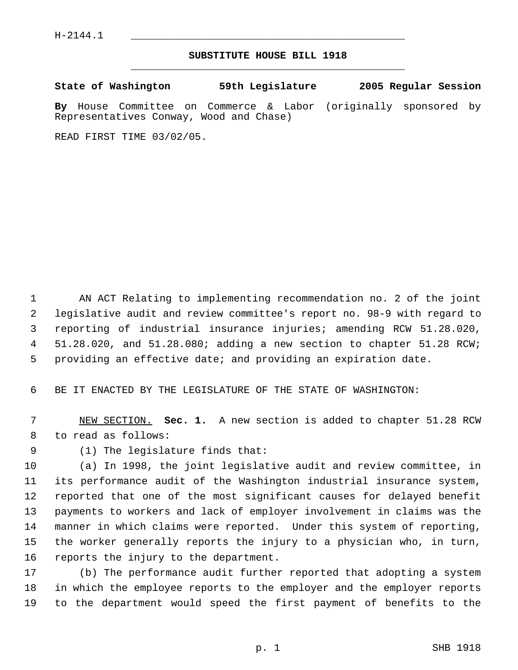## **SUBSTITUTE HOUSE BILL 1918** \_\_\_\_\_\_\_\_\_\_\_\_\_\_\_\_\_\_\_\_\_\_\_\_\_\_\_\_\_\_\_\_\_\_\_\_\_\_\_\_\_\_\_\_\_

**State of Washington 59th Legislature 2005 Regular Session**

**By** House Committee on Commerce & Labor (originally sponsored by Representatives Conway, Wood and Chase)

READ FIRST TIME 03/02/05.

 AN ACT Relating to implementing recommendation no. 2 of the joint legislative audit and review committee's report no. 98-9 with regard to reporting of industrial insurance injuries; amending RCW 51.28.020, 51.28.020, and 51.28.080; adding a new section to chapter 51.28 RCW; providing an effective date; and providing an expiration date.

BE IT ENACTED BY THE LEGISLATURE OF THE STATE OF WASHINGTON:

 NEW SECTION. **Sec. 1.** A new section is added to chapter 51.28 RCW to read as follows:

(1) The legislature finds that:

 (a) In 1998, the joint legislative audit and review committee, in its performance audit of the Washington industrial insurance system, reported that one of the most significant causes for delayed benefit payments to workers and lack of employer involvement in claims was the manner in which claims were reported. Under this system of reporting, the worker generally reports the injury to a physician who, in turn, reports the injury to the department.

 (b) The performance audit further reported that adopting a system in which the employee reports to the employer and the employer reports to the department would speed the first payment of benefits to the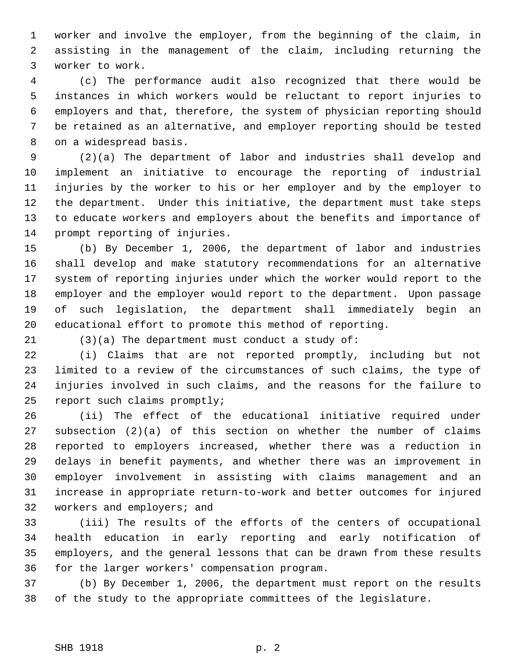worker and involve the employer, from the beginning of the claim, in assisting in the management of the claim, including returning the worker to work.

 (c) The performance audit also recognized that there would be instances in which workers would be reluctant to report injuries to employers and that, therefore, the system of physician reporting should be retained as an alternative, and employer reporting should be tested on a widespread basis.

 (2)(a) The department of labor and industries shall develop and implement an initiative to encourage the reporting of industrial injuries by the worker to his or her employer and by the employer to the department. Under this initiative, the department must take steps to educate workers and employers about the benefits and importance of prompt reporting of injuries.

 (b) By December 1, 2006, the department of labor and industries shall develop and make statutory recommendations for an alternative system of reporting injuries under which the worker would report to the employer and the employer would report to the department. Upon passage of such legislation, the department shall immediately begin an educational effort to promote this method of reporting.

(3)(a) The department must conduct a study of:

 (i) Claims that are not reported promptly, including but not limited to a review of the circumstances of such claims, the type of injuries involved in such claims, and the reasons for the failure to report such claims promptly;

 (ii) The effect of the educational initiative required under subsection (2)(a) of this section on whether the number of claims reported to employers increased, whether there was a reduction in delays in benefit payments, and whether there was an improvement in employer involvement in assisting with claims management and an increase in appropriate return-to-work and better outcomes for injured workers and employers; and

 (iii) The results of the efforts of the centers of occupational health education in early reporting and early notification of employers, and the general lessons that can be drawn from these results for the larger workers' compensation program.

 (b) By December 1, 2006, the department must report on the results of the study to the appropriate committees of the legislature.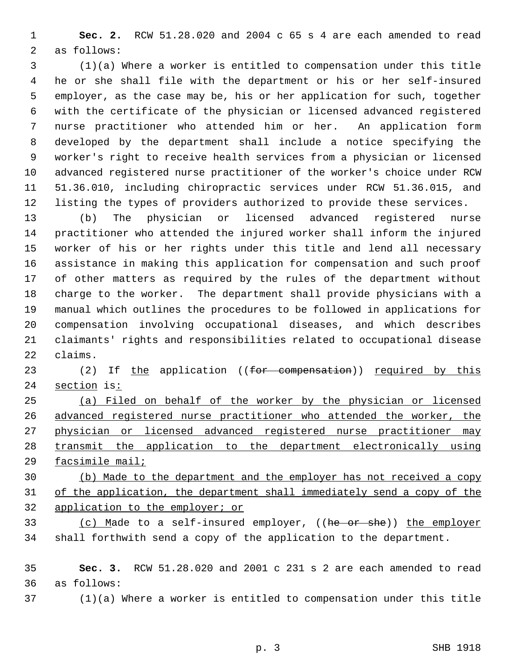**Sec. 2.** RCW 51.28.020 and 2004 c 65 s 4 are each amended to read as follows:

 (1)(a) Where a worker is entitled to compensation under this title he or she shall file with the department or his or her self-insured employer, as the case may be, his or her application for such, together with the certificate of the physician or licensed advanced registered nurse practitioner who attended him or her. An application form developed by the department shall include a notice specifying the worker's right to receive health services from a physician or licensed advanced registered nurse practitioner of the worker's choice under RCW 51.36.010, including chiropractic services under RCW 51.36.015, and listing the types of providers authorized to provide these services.

 (b) The physician or licensed advanced registered nurse practitioner who attended the injured worker shall inform the injured worker of his or her rights under this title and lend all necessary assistance in making this application for compensation and such proof of other matters as required by the rules of the department without charge to the worker. The department shall provide physicians with a manual which outlines the procedures to be followed in applications for compensation involving occupational diseases, and which describes claimants' rights and responsibilities related to occupational disease claims.

23 (2) If the application ((for compensation)) required by this 24 section is:

 (a) Filed on behalf of the worker by the physician or licensed advanced registered nurse practitioner who attended the worker, the physician or licensed advanced registered nurse practitioner may transmit the application to the department electronically using facsimile mail;

 (b) Made to the department and the employer has not received a copy of the application, the department shall immediately send a copy of the application to the employer; or

33 (c) Made to a self-insured employer, ((he or she)) the employer shall forthwith send a copy of the application to the department.

 **Sec. 3.** RCW 51.28.020 and 2001 c 231 s 2 are each amended to read as follows:

(1)(a) Where a worker is entitled to compensation under this title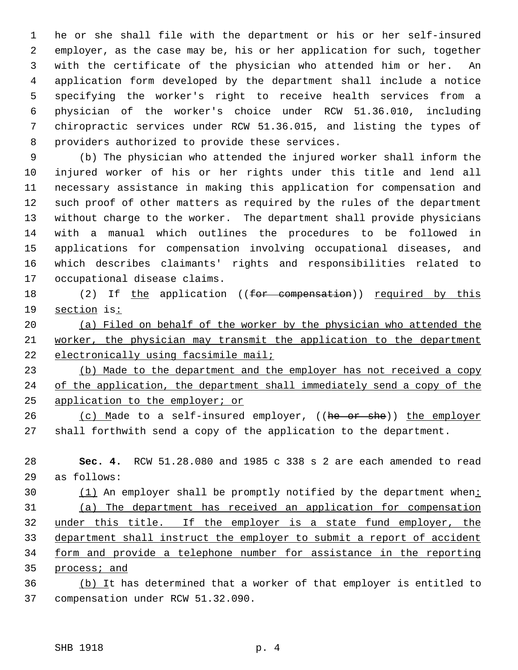he or she shall file with the department or his or her self-insured employer, as the case may be, his or her application for such, together with the certificate of the physician who attended him or her. An application form developed by the department shall include a notice specifying the worker's right to receive health services from a physician of the worker's choice under RCW 51.36.010, including chiropractic services under RCW 51.36.015, and listing the types of providers authorized to provide these services.

 (b) The physician who attended the injured worker shall inform the injured worker of his or her rights under this title and lend all necessary assistance in making this application for compensation and such proof of other matters as required by the rules of the department without charge to the worker. The department shall provide physicians with a manual which outlines the procedures to be followed in applications for compensation involving occupational diseases, and which describes claimants' rights and responsibilities related to occupational disease claims.

18 (2) If the application ((for compensation)) required by this section is:

 (a) Filed on behalf of the worker by the physician who attended the worker, the physician may transmit the application to the department 22 electronically using facsimile mail;

 (b) Made to the department and the employer has not received a copy 24 of the application, the department shall immediately send a copy of the application to the employer; or

26 (c) Made to a self-insured employer, ((he or she)) the employer shall forthwith send a copy of the application to the department.

 **Sec. 4.** RCW 51.28.080 and 1985 c 338 s 2 are each amended to read as follows:

30 (1) An employer shall be promptly notified by the department when: (a) The department has received an application for compensation under this title. If the employer is a state fund employer, the department shall instruct the employer to submit a report of accident form and provide a telephone number for assistance in the reporting process; and

36 (b) It has determined that a worker of that employer is entitled to compensation under RCW 51.32.090.